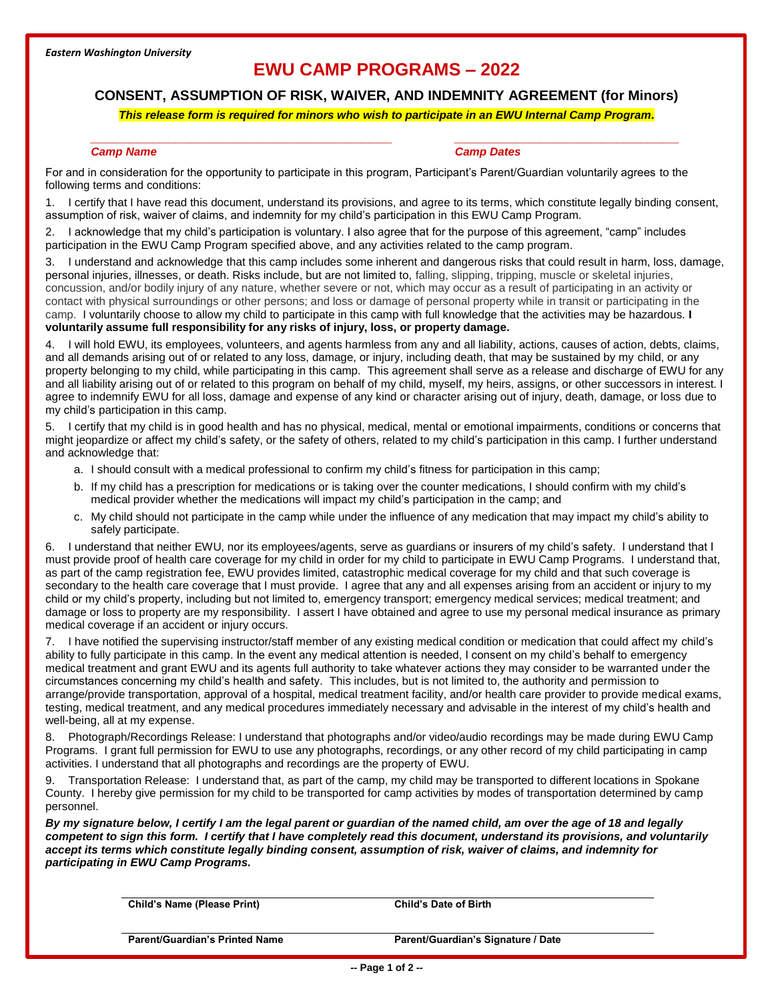# **EWU CAMP PROGRAMS – 2022**

## **CONSENT, ASSUMPTION OF RISK, WAIVER, AND INDEMNITY AGREEMENT (for Minors)**

### *This release form is required for minors who wish to participate in an EWU Internal Camp Program.*

### *\_\_\_\_\_\_\_\_\_\_\_\_\_\_\_\_\_\_\_\_\_\_\_\_\_\_\_\_\_\_\_\_\_\_\_\_\_\_\_ \_\_\_\_\_\_\_\_\_\_\_\_\_\_\_\_\_\_\_\_\_\_\_\_\_\_\_\_\_ Camp Name Camp Dates*

For and in consideration for the opportunity to participate in this program, Participant's Parent/Guardian voluntarily agrees to the following terms and conditions:

1. I certify that I have read this document, understand its provisions, and agree to its terms, which constitute legally binding consent, assumption of risk, waiver of claims, and indemnity for my child's participation in this EWU Camp Program.

2. I acknowledge that my child's participation is voluntary. I also agree that for the purpose of this agreement, "camp" includes participation in the EWU Camp Program specified above, and any activities related to the camp program.

3. I understand and acknowledge that this camp includes some inherent and dangerous risks that could result in harm, loss, damage, personal injuries, illnesses, or death. Risks include, but are not limited to, falling, slipping, tripping, muscle or skeletal injuries, concussion, and/or bodily injury of any nature, whether severe or not, which may occur as a result of participating in an activity or contact with physical surroundings or other persons; and loss or damage of personal property while in transit or participating in the camp. I voluntarily choose to allow my child to participate in this camp with full knowledge that the activities may be hazardous. **I voluntarily assume full responsibility for any risks of injury, loss, or property damage.** 

4. I will hold EWU, its employees, volunteers, and agents harmless from any and all liability, actions, causes of action, debts, claims, and all demands arising out of or related to any loss, damage, or injury, including death, that may be sustained by my child, or any property belonging to my child, while participating in this camp. This agreement shall serve as a release and discharge of EWU for any and all liability arising out of or related to this program on behalf of my child, myself, my heirs, assigns, or other successors in interest. I agree to indemnify EWU for all loss, damage and expense of any kind or character arising out of injury, death, damage, or loss due to my child's participation in this camp.

5. I certify that my child is in good health and has no physical, medical, mental or emotional impairments, conditions or concerns that might jeopardize or affect my child's safety, or the safety of others, related to my child's participation in this camp. I further understand and acknowledge that:

- a. I should consult with a medical professional to confirm my child's fitness for participation in this camp;
- b. If my child has a prescription for medications or is taking over the counter medications, I should confirm with my child's medical provider whether the medications will impact my child's participation in the camp; and
- c. My child should not participate in the camp while under the influence of any medication that may impact my child's ability to safely participate.

6. I understand that neither EWU, nor its employees/agents, serve as guardians or insurers of my child's safety. I understand that I must provide proof of health care coverage for my child in order for my child to participate in EWU Camp Programs. I understand that, as part of the camp registration fee, EWU provides limited, catastrophic medical coverage for my child and that such coverage is secondary to the health care coverage that I must provide. I agree that any and all expenses arising from an accident or injury to my child or my child's property, including but not limited to, emergency transport; emergency medical services; medical treatment; and damage or loss to property are my responsibility. I assert I have obtained and agree to use my personal medical insurance as primary medical coverage if an accident or injury occurs.

7. I have notified the supervising instructor/staff member of any existing medical condition or medication that could affect my child's ability to fully participate in this camp. In the event any medical attention is needed, I consent on my child's behalf to emergency medical treatment and grant EWU and its agents full authority to take whatever actions they may consider to be warranted under the circumstances concerning my child's health and safety. This includes, but is not limited to, the authority and permission to arrange/provide transportation, approval of a hospital, medical treatment facility, and/or health care provider to provide medical exams, testing, medical treatment, and any medical procedures immediately necessary and advisable in the interest of my child's health and well-being, all at my expense.

8. Photograph/Recordings Release: I understand that photographs and/or video/audio recordings may be made during EWU Camp Programs. I grant full permission for EWU to use any photographs, recordings, or any other record of my child participating in camp activities. I understand that all photographs and recordings are the property of EWU.

9. Transportation Release: I understand that, as part of the camp, my child may be transported to different locations in Spokane County. I hereby give permission for my child to be transported for camp activities by modes of transportation determined by camp personnel.

*By my signature below, I certify I am the legal parent or guardian of the named child, am over the age of 18 and legally competent to sign this form. I certify that I have completely read this document, understand its provisions, and voluntarily accept its terms which constitute legally binding consent, assumption of risk, waiver of claims, and indemnity for participating in EWU Camp Programs.* 

**Child's Name (Please Print) Child's Date of Birth Parent/Guardian's Printed Name Parent/Guardian's Signature / Date**